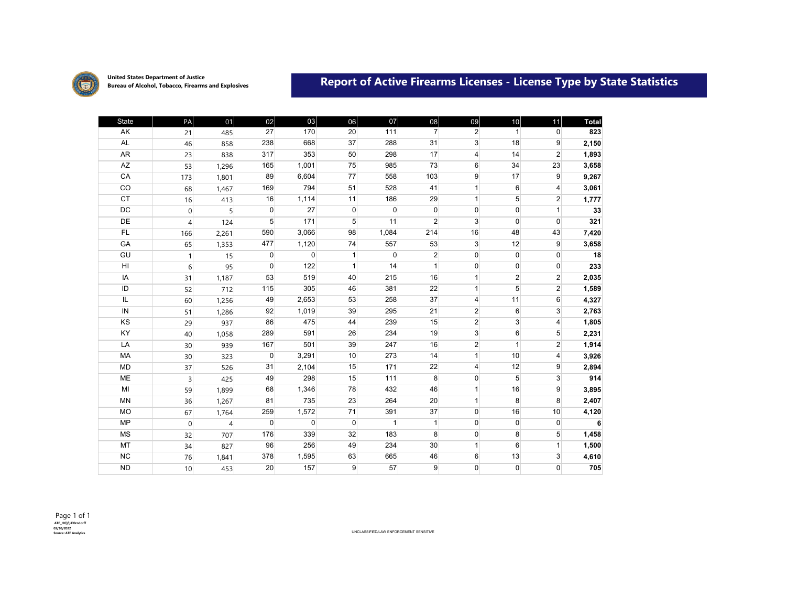

**United States Department of Justice**

## United States Department of Justice<br>Bureau of Alcohol, Tobacco, Firearms and Explosives **Report of Active Firearms Licenses - License Type by State Statistics**

| <b>State</b>   | PA             | 01             | 02           | 03           | 06           | 07           | 08             | 09             | 10 <sup>1</sup> | 11              | <b>Total</b>    |
|----------------|----------------|----------------|--------------|--------------|--------------|--------------|----------------|----------------|-----------------|-----------------|-----------------|
| AK             | 21             | 485            | 27           | 170          | 20           | 111          | $\overline{7}$ | $\overline{2}$ | $\mathbf{1}$    | $\mathbf{0}$    | 823             |
| <b>AL</b>      | 46             | 858            | 238          | 668          | 37           | 288          | 31             | 3              | 18              | 9               | 2,150           |
| AR             | 23             | 838            | 317          | 353          | 50           | 298          | 17             | 4              | 14              | $\overline{2}$  | 1,893           |
| AZ             | 53             | 1,296          | 165          | 1,001        | 75           | 985          | 73             | 6              | 34              | 23              | 3,658           |
| CA             | 173            | 1,801          | 89           | 6,604        | 77           | 558          | 103            | 9              | 17              | 9               | 9,267           |
| CO             | 68             | 1,467          | 169          | 794          | 51           | 528          | 41             | $\mathbf{1}$   | 6               | $\overline{4}$  | 3,061           |
| <b>CT</b>      | 16             | 413            | 16           | 1,114        | 11           | 186          | 29             | $\mathbf{1}$   | 5               | $\overline{2}$  | 1,777           |
| <b>DC</b>      | $\overline{0}$ | 5              | $\mathbf{0}$ | 27           | 0            | $\pmb{0}$    | $\overline{0}$ | 0              | $\mathbf 0$     | 1               | $\overline{33}$ |
| DE             | $\overline{4}$ | 124            | 5            | 171          | 5            | 11           | $\overline{2}$ | 3              | $\Omega$        | $\mathbf{0}$    | 321             |
| FL             | 166            | 2,261          | 590          | 3,066        | 98           | 1,084        | 214            | 16             | 48              | 43              | 7,420           |
| GA             | 65             | 1,353          | 477          | 1,120        | 74           | 557          | 53             | $\overline{3}$ | 12              | 9               | 3,658           |
| GU             | 1              | 15             | $\Omega$     | $\Omega$     | $\mathbf{1}$ | $\Omega$     | $\overline{2}$ | $\Omega$       | $\mathbf 0$     | $\overline{0}$  | 18              |
| H <sub>l</sub> | 6              | 95             | $\Omega$     | 122          | $\mathbf{1}$ | 14           | $\mathbf{1}$   | $\overline{0}$ | $\overline{0}$  | $\mathbf{0}$    | 233             |
| IA             | 31             | 1,187          | 53           | 519          | 40           | 215          | 16             | $\mathbf{1}$   | $\overline{2}$  | $\overline{2}$  | 2,035           |
| ID             | 52             | 712            | 115          | 305          | 46           | 381          | 22             | $\mathbf{1}$   | 5               | $\overline{2}$  | 1,589           |
| IL             | 60             | 1,256          | 49           | 2,653        | 53           | 258          | 37             | 4              | 11              | $6 \,$          | 4,327           |
| IN             | 51             | 1,286          | 92           | 1,019        | 39           | 295          | 21             | $\overline{2}$ | 6               | 3               | 2,763           |
| KS             | 29             | 937            | 86           | 475          | 44           | 239          | 15             | $\overline{2}$ | $\overline{3}$  | $\overline{4}$  | 1,805           |
| KY             | 40             | 1,058          | 289          | 591          | 26           | 234          | 19             | $\overline{3}$ | 6               | $5\overline{)}$ | 2,231           |
| LA             | 30             | 939            | 167          | 501          | 39           | 247          | 16             | $\overline{2}$ | $\mathbf{1}$    | $\overline{2}$  | 1,914           |
| MA             | 30             | 323            | $\Omega$     | 3,291        | 10           | 273          | 14             | $\mathbf{1}$   | 10              | $\overline{4}$  | 3,926           |
| <b>MD</b>      | 37             | 526            | 31           | 2,104        | 15           | 171          | 22             | $\overline{4}$ | 12              | 9               | 2,894           |
| <b>ME</b>      | 3              | 425            | 49           | 298          | 15           | 111          | 8              | $\overline{0}$ | 5               | $\overline{3}$  | 914             |
| MI             | 59             | 1,899          | 68           | 1,346        | 78           | 432          | 46             | $\mathbf{1}$   | 16              | 9               | 3,895           |
| <b>MN</b>      | 36             | 1,267          | 81           | 735          | 23           | 264          | 20             | $\mathbf{1}$   | 8               | 8               | 2,407           |
| <b>MO</b>      | 67             | 1,764          | 259          | 1,572        | 71           | 391          | 37             | $\overline{0}$ | 16              | 10              | 4,120           |
| <b>MP</b>      | $\Omega$       | $\overline{4}$ | $\mathbf 0$  | $\mathbf{0}$ | 0            | $\mathbf{1}$ | 1              | 0              | $\mathbf 0$     | $\mathbf{0}$    | 6               |
| <b>MS</b>      | 32             | 707            | 176          | 339          | 32           | 183          | 8              | $\overline{0}$ | 8               | $5\overline{)}$ | 1,458           |
| MT             | 34             | 827            | 96           | 256          | 49           | 234          | 30             | $\mathbf{1}$   | 6               | $\mathbf{1}$    | 1,500           |
| <b>NC</b>      | 76             | 1,841          | 378          | 1,595        | 63           | 665          | 46             | 6              | 13              | 3               | 4,610           |
| <b>ND</b>      | 10             | 453            | 20           | 157          | 9            | 57           | $\overline{9}$ | $\overline{0}$ | $\overline{0}$  | $\overline{0}$  | 705             |

**Source: ATF Analytics** UNCLASSIFIED/LAW ENFORCEMENT SENSITIVE